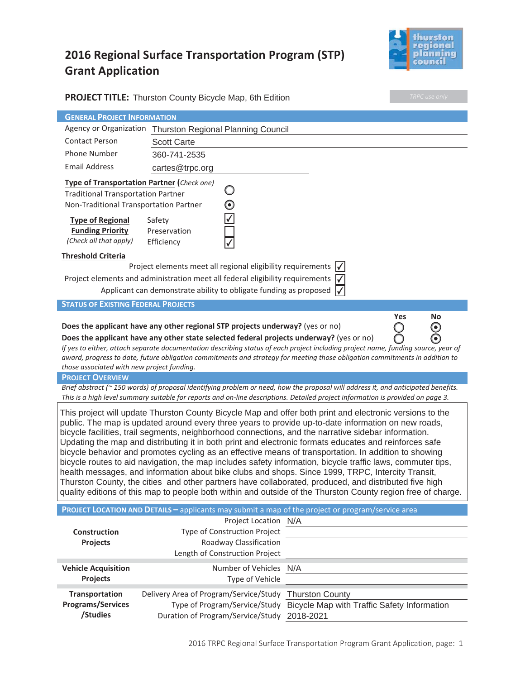# **2016 Regional Surface Transportation Program (STP) Grant Application**



|                                                                                                                                                                                                                                                                                                                                                                                                                                                                                                                                                                                                                                                                                                                                                                                                                                                                                                                                                                                         | <b>PROJECT TITLE:</b> Thurston County Bicycle Map, 6th Edition                                                                                                                                                                                                      |  | TRPC use only             |  |  |  |  |
|-----------------------------------------------------------------------------------------------------------------------------------------------------------------------------------------------------------------------------------------------------------------------------------------------------------------------------------------------------------------------------------------------------------------------------------------------------------------------------------------------------------------------------------------------------------------------------------------------------------------------------------------------------------------------------------------------------------------------------------------------------------------------------------------------------------------------------------------------------------------------------------------------------------------------------------------------------------------------------------------|---------------------------------------------------------------------------------------------------------------------------------------------------------------------------------------------------------------------------------------------------------------------|--|---------------------------|--|--|--|--|
| <b>GENERAL PROJECT INFORMATION</b>                                                                                                                                                                                                                                                                                                                                                                                                                                                                                                                                                                                                                                                                                                                                                                                                                                                                                                                                                      |                                                                                                                                                                                                                                                                     |  |                           |  |  |  |  |
|                                                                                                                                                                                                                                                                                                                                                                                                                                                                                                                                                                                                                                                                                                                                                                                                                                                                                                                                                                                         | Agency or Organization Thurston Regional Planning Council                                                                                                                                                                                                           |  |                           |  |  |  |  |
| <b>Contact Person</b>                                                                                                                                                                                                                                                                                                                                                                                                                                                                                                                                                                                                                                                                                                                                                                                                                                                                                                                                                                   | <b>Scott Carte</b>                                                                                                                                                                                                                                                  |  |                           |  |  |  |  |
| <b>Phone Number</b>                                                                                                                                                                                                                                                                                                                                                                                                                                                                                                                                                                                                                                                                                                                                                                                                                                                                                                                                                                     | 360-741-2535                                                                                                                                                                                                                                                        |  |                           |  |  |  |  |
| <b>Email Address</b>                                                                                                                                                                                                                                                                                                                                                                                                                                                                                                                                                                                                                                                                                                                                                                                                                                                                                                                                                                    | cartes@trpc.org                                                                                                                                                                                                                                                     |  |                           |  |  |  |  |
| Type of Transportation Partner (Check one)                                                                                                                                                                                                                                                                                                                                                                                                                                                                                                                                                                                                                                                                                                                                                                                                                                                                                                                                              |                                                                                                                                                                                                                                                                     |  |                           |  |  |  |  |
| <b>Traditional Transportation Partner</b>                                                                                                                                                                                                                                                                                                                                                                                                                                                                                                                                                                                                                                                                                                                                                                                                                                                                                                                                               |                                                                                                                                                                                                                                                                     |  |                           |  |  |  |  |
| Non-Traditional Transportation Partner                                                                                                                                                                                                                                                                                                                                                                                                                                                                                                                                                                                                                                                                                                                                                                                                                                                                                                                                                  | $\bm{\odot}$                                                                                                                                                                                                                                                        |  |                           |  |  |  |  |
| <b>Type of Regional</b>                                                                                                                                                                                                                                                                                                                                                                                                                                                                                                                                                                                                                                                                                                                                                                                                                                                                                                                                                                 | Safety                                                                                                                                                                                                                                                              |  |                           |  |  |  |  |
| <b>Funding Priority</b>                                                                                                                                                                                                                                                                                                                                                                                                                                                                                                                                                                                                                                                                                                                                                                                                                                                                                                                                                                 | Preservation                                                                                                                                                                                                                                                        |  |                           |  |  |  |  |
| (Check all that apply)                                                                                                                                                                                                                                                                                                                                                                                                                                                                                                                                                                                                                                                                                                                                                                                                                                                                                                                                                                  | Efficiency                                                                                                                                                                                                                                                          |  |                           |  |  |  |  |
| <b>Threshold Criteria</b>                                                                                                                                                                                                                                                                                                                                                                                                                                                                                                                                                                                                                                                                                                                                                                                                                                                                                                                                                               |                                                                                                                                                                                                                                                                     |  |                           |  |  |  |  |
| Project elements meet all regional eligibility requirements                                                                                                                                                                                                                                                                                                                                                                                                                                                                                                                                                                                                                                                                                                                                                                                                                                                                                                                             |                                                                                                                                                                                                                                                                     |  |                           |  |  |  |  |
|                                                                                                                                                                                                                                                                                                                                                                                                                                                                                                                                                                                                                                                                                                                                                                                                                                                                                                                                                                                         | Project elements and administration meet all federal eligibility requirements $\sqrt{}$                                                                                                                                                                             |  |                           |  |  |  |  |
|                                                                                                                                                                                                                                                                                                                                                                                                                                                                                                                                                                                                                                                                                                                                                                                                                                                                                                                                                                                         | Applicant can demonstrate ability to obligate funding as proposed                                                                                                                                                                                                   |  |                           |  |  |  |  |
| <b>STATUS OF EXISTING FEDERAL PROJECTS</b>                                                                                                                                                                                                                                                                                                                                                                                                                                                                                                                                                                                                                                                                                                                                                                                                                                                                                                                                              |                                                                                                                                                                                                                                                                     |  |                           |  |  |  |  |
|                                                                                                                                                                                                                                                                                                                                                                                                                                                                                                                                                                                                                                                                                                                                                                                                                                                                                                                                                                                         |                                                                                                                                                                                                                                                                     |  | Yes<br>No                 |  |  |  |  |
|                                                                                                                                                                                                                                                                                                                                                                                                                                                                                                                                                                                                                                                                                                                                                                                                                                                                                                                                                                                         | Does the applicant have any other regional STP projects underway? (yes or no)                                                                                                                                                                                       |  | $\boldsymbol{\odot}$<br>J |  |  |  |  |
|                                                                                                                                                                                                                                                                                                                                                                                                                                                                                                                                                                                                                                                                                                                                                                                                                                                                                                                                                                                         | Does the applicant have any other state selected federal projects underway? (yes or no)                                                                                                                                                                             |  |                           |  |  |  |  |
|                                                                                                                                                                                                                                                                                                                                                                                                                                                                                                                                                                                                                                                                                                                                                                                                                                                                                                                                                                                         | If yes to either, attach separate documentation describing status of each project including project name, funding source, year of<br>award, progress to date, future obligation commitments and strategy for meeting those obligation commitments in addition to    |  |                           |  |  |  |  |
| those associated with new project funding.                                                                                                                                                                                                                                                                                                                                                                                                                                                                                                                                                                                                                                                                                                                                                                                                                                                                                                                                              |                                                                                                                                                                                                                                                                     |  |                           |  |  |  |  |
| <b>PROJECT OVERVIEW</b>                                                                                                                                                                                                                                                                                                                                                                                                                                                                                                                                                                                                                                                                                                                                                                                                                                                                                                                                                                 |                                                                                                                                                                                                                                                                     |  |                           |  |  |  |  |
|                                                                                                                                                                                                                                                                                                                                                                                                                                                                                                                                                                                                                                                                                                                                                                                                                                                                                                                                                                                         | Brief abstract (~150 words) of proposal identifying problem or need, how the proposal will address it, and anticipated benefits.<br>This is a high level summary suitable for reports and on-line descriptions. Detailed project information is provided on page 3. |  |                           |  |  |  |  |
| This project will update Thurston County Bicycle Map and offer both print and electronic versions to the<br>public. The map is updated around every three years to provide up-to-date information on new roads,<br>bicycle facilities, trail segments, neighborhood connections, and the narrative sidebar information.<br>Updating the map and distributing it in both print and electronic formats educates and reinforces safe<br>bicycle behavior and promotes cycling as an effective means of transportation. In addition to showing<br>bicycle routes to aid navigation, the map includes safety information, bicycle traffic laws, commuter tips,<br>health messages, and information about bike clubs and shops. Since 1999, TRPC, Intercity Transit,<br>Thurston County, the cities and other partners have collaborated, produced, and distributed five high<br>quality editions of this map to people both within and outside of the Thurston County region free of charge. |                                                                                                                                                                                                                                                                     |  |                           |  |  |  |  |
|                                                                                                                                                                                                                                                                                                                                                                                                                                                                                                                                                                                                                                                                                                                                                                                                                                                                                                                                                                                         | PROJECT LOCATION AND DETAILS - applicants may submit a map of the project or program/service area                                                                                                                                                                   |  |                           |  |  |  |  |
|                                                                                                                                                                                                                                                                                                                                                                                                                                                                                                                                                                                                                                                                                                                                                                                                                                                                                                                                                                                         | Project Location N/A                                                                                                                                                                                                                                                |  |                           |  |  |  |  |
| <b>Construction</b>                                                                                                                                                                                                                                                                                                                                                                                                                                                                                                                                                                                                                                                                                                                                                                                                                                                                                                                                                                     | Type of Construction Project                                                                                                                                                                                                                                        |  |                           |  |  |  |  |
| Projects                                                                                                                                                                                                                                                                                                                                                                                                                                                                                                                                                                                                                                                                                                                                                                                                                                                                                                                                                                                | Roadway Classification<br>Length of Construction Project                                                                                                                                                                                                            |  |                           |  |  |  |  |
|                                                                                                                                                                                                                                                                                                                                                                                                                                                                                                                                                                                                                                                                                                                                                                                                                                                                                                                                                                                         |                                                                                                                                                                                                                                                                     |  |                           |  |  |  |  |
| <b>Vehicle Acquisition</b><br><b>Projects</b>                                                                                                                                                                                                                                                                                                                                                                                                                                                                                                                                                                                                                                                                                                                                                                                                                                                                                                                                           | Number of Vehicles N/A<br>Type of Vehicle                                                                                                                                                                                                                           |  |                           |  |  |  |  |
|                                                                                                                                                                                                                                                                                                                                                                                                                                                                                                                                                                                                                                                                                                                                                                                                                                                                                                                                                                                         |                                                                                                                                                                                                                                                                     |  |                           |  |  |  |  |
| Transportation<br><b>Programs/Services</b>                                                                                                                                                                                                                                                                                                                                                                                                                                                                                                                                                                                                                                                                                                                                                                                                                                                                                                                                              | Delivery Area of Program/Service/Study Thurston County                                                                                                                                                                                                              |  |                           |  |  |  |  |
| /Studies                                                                                                                                                                                                                                                                                                                                                                                                                                                                                                                                                                                                                                                                                                                                                                                                                                                                                                                                                                                | Type of Program/Service/Study Bicycle Map with Traffic Safety Information<br>Duration of Program/Service/Study 2018-2021                                                                                                                                            |  |                           |  |  |  |  |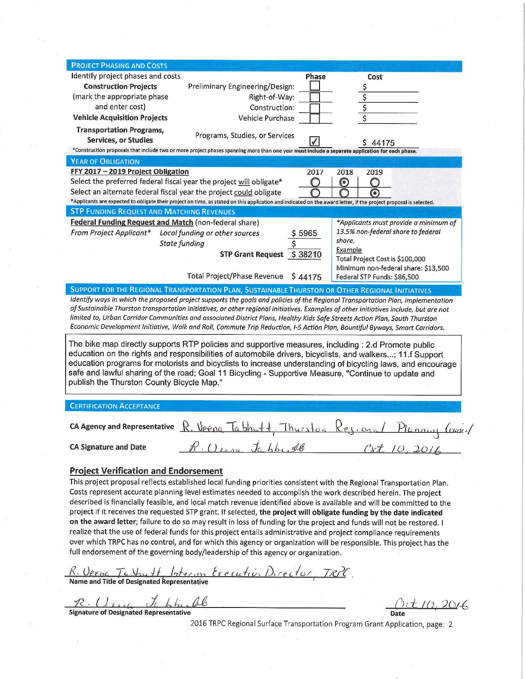| <b>PROJECT PHASING AND COSTS</b>                                                                                                                                                                                                                                                                                                                                                                                                                                                                                                                                                                                                                                                                                                                                                                                                                                                                                                                                                                                              |                                                                                                                                                                                                                                                                                                                                                                                                                                                                                                                                                                                                                  |              |              |                             |                                       |  |  |
|-------------------------------------------------------------------------------------------------------------------------------------------------------------------------------------------------------------------------------------------------------------------------------------------------------------------------------------------------------------------------------------------------------------------------------------------------------------------------------------------------------------------------------------------------------------------------------------------------------------------------------------------------------------------------------------------------------------------------------------------------------------------------------------------------------------------------------------------------------------------------------------------------------------------------------------------------------------------------------------------------------------------------------|------------------------------------------------------------------------------------------------------------------------------------------------------------------------------------------------------------------------------------------------------------------------------------------------------------------------------------------------------------------------------------------------------------------------------------------------------------------------------------------------------------------------------------------------------------------------------------------------------------------|--------------|--------------|-----------------------------|---------------------------------------|--|--|
| Identify project phases and costs                                                                                                                                                                                                                                                                                                                                                                                                                                                                                                                                                                                                                                                                                                                                                                                                                                                                                                                                                                                             |                                                                                                                                                                                                                                                                                                                                                                                                                                                                                                                                                                                                                  | Phase        |              | Cost                        |                                       |  |  |
| <b>Construction Projects</b>                                                                                                                                                                                                                                                                                                                                                                                                                                                                                                                                                                                                                                                                                                                                                                                                                                                                                                                                                                                                  | Preliminary Engineering/Design:                                                                                                                                                                                                                                                                                                                                                                                                                                                                                                                                                                                  |              |              | \$                          |                                       |  |  |
| (mark the appropriate phase                                                                                                                                                                                                                                                                                                                                                                                                                                                                                                                                                                                                                                                                                                                                                                                                                                                                                                                                                                                                   | Right-of-Way:                                                                                                                                                                                                                                                                                                                                                                                                                                                                                                                                                                                                    |              |              |                             |                                       |  |  |
| and enter cost)                                                                                                                                                                                                                                                                                                                                                                                                                                                                                                                                                                                                                                                                                                                                                                                                                                                                                                                                                                                                               | Construction:                                                                                                                                                                                                                                                                                                                                                                                                                                                                                                                                                                                                    |              |              | $\frac{5}{5}$               |                                       |  |  |
| <b>Vehicle Acquisition Projects</b>                                                                                                                                                                                                                                                                                                                                                                                                                                                                                                                                                                                                                                                                                                                                                                                                                                                                                                                                                                                           | Vehicle Purchase                                                                                                                                                                                                                                                                                                                                                                                                                                                                                                                                                                                                 |              |              |                             |                                       |  |  |
| <b>Transportation Programs,</b>                                                                                                                                                                                                                                                                                                                                                                                                                                                                                                                                                                                                                                                                                                                                                                                                                                                                                                                                                                                               |                                                                                                                                                                                                                                                                                                                                                                                                                                                                                                                                                                                                                  |              |              |                             |                                       |  |  |
| Services, or Studies                                                                                                                                                                                                                                                                                                                                                                                                                                                                                                                                                                                                                                                                                                                                                                                                                                                                                                                                                                                                          | Programs, Studies, or Services                                                                                                                                                                                                                                                                                                                                                                                                                                                                                                                                                                                   |              |              |                             |                                       |  |  |
|                                                                                                                                                                                                                                                                                                                                                                                                                                                                                                                                                                                                                                                                                                                                                                                                                                                                                                                                                                                                                               | *Construction proposals that include two or more project phases spanning more than one year must include a separate application for each phase.                                                                                                                                                                                                                                                                                                                                                                                                                                                                  |              |              | 44175                       |                                       |  |  |
| <b>YEAR OF OBLIGATION</b>                                                                                                                                                                                                                                                                                                                                                                                                                                                                                                                                                                                                                                                                                                                                                                                                                                                                                                                                                                                                     |                                                                                                                                                                                                                                                                                                                                                                                                                                                                                                                                                                                                                  |              |              |                             |                                       |  |  |
| FFY 2017 - 2019 Project Obligation                                                                                                                                                                                                                                                                                                                                                                                                                                                                                                                                                                                                                                                                                                                                                                                                                                                                                                                                                                                            |                                                                                                                                                                                                                                                                                                                                                                                                                                                                                                                                                                                                                  | 2017         | 2018         | 2019                        |                                       |  |  |
| Select the preferred federal fiscal year the project will obligate*                                                                                                                                                                                                                                                                                                                                                                                                                                                                                                                                                                                                                                                                                                                                                                                                                                                                                                                                                           |                                                                                                                                                                                                                                                                                                                                                                                                                                                                                                                                                                                                                  |              | $\bm{\odot}$ |                             |                                       |  |  |
| Select an alternate federal fiscal year the project could obligate                                                                                                                                                                                                                                                                                                                                                                                                                                                                                                                                                                                                                                                                                                                                                                                                                                                                                                                                                            |                                                                                                                                                                                                                                                                                                                                                                                                                                                                                                                                                                                                                  |              |              | (o)                         |                                       |  |  |
|                                                                                                                                                                                                                                                                                                                                                                                                                                                                                                                                                                                                                                                                                                                                                                                                                                                                                                                                                                                                                               | *Applicants are expected to obligate their project on time, as stated on this application and indicated on the award letter, if the project proposal is selected.                                                                                                                                                                                                                                                                                                                                                                                                                                                |              |              |                             |                                       |  |  |
| <b>STP FUNDING REQUEST AND MATCHING REVENUES</b>                                                                                                                                                                                                                                                                                                                                                                                                                                                                                                                                                                                                                                                                                                                                                                                                                                                                                                                                                                              |                                                                                                                                                                                                                                                                                                                                                                                                                                                                                                                                                                                                                  |              |              |                             |                                       |  |  |
| Federal Funding Request and Match (non-federal share)                                                                                                                                                                                                                                                                                                                                                                                                                                                                                                                                                                                                                                                                                                                                                                                                                                                                                                                                                                         |                                                                                                                                                                                                                                                                                                                                                                                                                                                                                                                                                                                                                  |              |              |                             | *Applicants must provide a minimum of |  |  |
| From Project Applicant*                                                                                                                                                                                                                                                                                                                                                                                                                                                                                                                                                                                                                                                                                                                                                                                                                                                                                                                                                                                                       | Local funding or other sources                                                                                                                                                                                                                                                                                                                                                                                                                                                                                                                                                                                   | \$5965       |              |                             | 13.5% non-federal share to federal    |  |  |
|                                                                                                                                                                                                                                                                                                                                                                                                                                                                                                                                                                                                                                                                                                                                                                                                                                                                                                                                                                                                                               | <b>State funding</b>                                                                                                                                                                                                                                                                                                                                                                                                                                                                                                                                                                                             |              | share.       |                             |                                       |  |  |
|                                                                                                                                                                                                                                                                                                                                                                                                                                                                                                                                                                                                                                                                                                                                                                                                                                                                                                                                                                                                                               | STP Grant Request \$38210                                                                                                                                                                                                                                                                                                                                                                                                                                                                                                                                                                                        |              | Example      |                             |                                       |  |  |
|                                                                                                                                                                                                                                                                                                                                                                                                                                                                                                                                                                                                                                                                                                                                                                                                                                                                                                                                                                                                                               |                                                                                                                                                                                                                                                                                                                                                                                                                                                                                                                                                                                                                  |              |              |                             | Total Project Cost is \$100,000       |  |  |
|                                                                                                                                                                                                                                                                                                                                                                                                                                                                                                                                                                                                                                                                                                                                                                                                                                                                                                                                                                                                                               | Total Project/Phase Revenue                                                                                                                                                                                                                                                                                                                                                                                                                                                                                                                                                                                      | S 44175      |              | Federal STP Funds: \$86,500 | Minimum non-federal share: \$13,500   |  |  |
|                                                                                                                                                                                                                                                                                                                                                                                                                                                                                                                                                                                                                                                                                                                                                                                                                                                                                                                                                                                                                               | SUPPORT FOR THE REGIONAL TRANSPORTATION PLAN, SUSTAINABLE THURSTON OR OTHER REGIONAL INITIATIVES                                                                                                                                                                                                                                                                                                                                                                                                                                                                                                                 |              |              |                             |                                       |  |  |
| Identify ways in which the proposed project supports the goals and policies of the Regional Transportation Plan, implementation<br>of Sustainable Thurston transportation initiatives, or other regional initiatives. Examples of other initiatives include, but are not<br>limited to, Urban Corridor Communities and associated District Plans, Healthy Kids Safe Streets Action Plan, South Thurston<br>Economic Development Initiative, Walk and Roll, Commute Trip Reduction, I-5 Action Plan, Bountiful Byways, Smart Corridors.<br>The bike map directly supports RTP policies and supportive measures, including : 2.d Promote public<br>education on the rights and responsibilities of automobile drivers, bicyclists, and walkers; 11.f Support<br>education programs for motorists and bicyclists to increase understanding of bicycling laws, and encourage<br>safe and lawful sharing of the road; Goal 11 Bicycling - Supportive Measure, "Continue to update and<br>publish the Thurston County Bicycle Map." |                                                                                                                                                                                                                                                                                                                                                                                                                                                                                                                                                                                                                  |              |              |                             |                                       |  |  |
|                                                                                                                                                                                                                                                                                                                                                                                                                                                                                                                                                                                                                                                                                                                                                                                                                                                                                                                                                                                                                               |                                                                                                                                                                                                                                                                                                                                                                                                                                                                                                                                                                                                                  |              |              |                             |                                       |  |  |
| <b>CERTIFICATION ACCEPTANCE</b>                                                                                                                                                                                                                                                                                                                                                                                                                                                                                                                                                                                                                                                                                                                                                                                                                                                                                                                                                                                               |                                                                                                                                                                                                                                                                                                                                                                                                                                                                                                                                                                                                                  |              |              |                             |                                       |  |  |
| <b>CA Agency and Representative</b><br><b>CA Signature and Date</b>                                                                                                                                                                                                                                                                                                                                                                                                                                                                                                                                                                                                                                                                                                                                                                                                                                                                                                                                                           | R. Veena labbutt<br>Jabby 26                                                                                                                                                                                                                                                                                                                                                                                                                                                                                                                                                                                     | $-$ Thurston |              | $e$ (ione                   | $10^{-7}$                             |  |  |
|                                                                                                                                                                                                                                                                                                                                                                                                                                                                                                                                                                                                                                                                                                                                                                                                                                                                                                                                                                                                                               |                                                                                                                                                                                                                                                                                                                                                                                                                                                                                                                                                                                                                  |              |              |                             |                                       |  |  |
| <b>Project Verification and Endorsement</b>                                                                                                                                                                                                                                                                                                                                                                                                                                                                                                                                                                                                                                                                                                                                                                                                                                                                                                                                                                                   | This project proposal reflects established local funding priorities consistent with the Regional Transportation Plan.<br>Costs represent accurate planning level estimates needed to accomplish the work described herein. The project<br>described is financially feasible, and local match revenue identified above is available and will be committed to the<br>project if it receives the requested STP grant. If selected, the project will obligate funding by the date indicated<br>on the award letter; failure to do so may result in loss of funding for the project and funds will not be restored. I |              |              |                             |                                       |  |  |
| realize that the use of federal funds for this project entails administrative and project compliance requirements<br>over which TRPC has no control, and for which this agency or organization will be responsible. This project has the                                                                                                                                                                                                                                                                                                                                                                                                                                                                                                                                                                                                                                                                                                                                                                                      |                                                                                                                                                                                                                                                                                                                                                                                                                                                                                                                                                                                                                  |              |              |                             |                                       |  |  |

R. Veeno Tubutt Interim Executive Director, TRPC.<br>Name and Title of Designated Representative

full endorsement of the governing body/leadership of this agency or organization.

R Usua Jehn Ab

2016 TRPC Regional Surface Transportation Program Grant Application, page: 2

 $0.10, 2016$ 

Date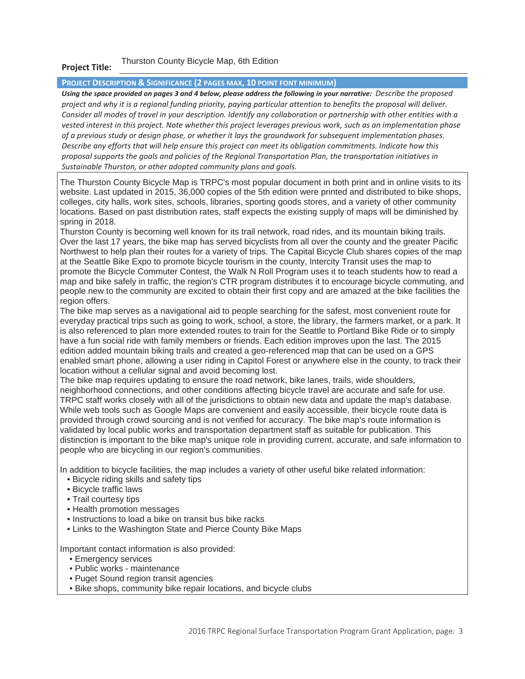#### **Project Title:**  Thurston County Bicycle Map, 6th Edition

### **PROJECT DESCRIPTION & SIGNIFICANCE (2 PAGES MAX, 10 POINT FONT MINIMUM)**

*Using the space provided on pages 3 and 4 below, please address the following in your narrative: Describe the proposed project and why it is a regional funding priority, paying particular attention to benefits the proposal will deliver. Consider all modes of travel in your description. Identify any collaboration or partnership with other entities with a vested interest in this project. Note whether this project leverages previous work, such as an implementation phase of a previous study or design phase, or whether it lays the groundwork for subsequent implementation phases. Describe any efforts that will help ensure this project can meet its obligation commitments. Indicate how this proposal supports the goals and policies of the Regional Transportation Plan, the transportation initiatives in Sustainable Thurston, or other adopted community plans and goals.* 

The Thurston County Bicycle Map is TRPC's most popular document in both print and in online visits to its website. Last updated in 2015, 36,000 copies of the 5th edition were printed and distributed to bike shops, colleges, city halls, work sites, schools, libraries, sporting goods stores, and a variety of other community locations. Based on past distribution rates, staff expects the existing supply of maps will be diminished by spring in 2018.

Thurston County is becoming well known for its trail network, road rides, and its mountain biking trails. Over the last 17 years, the bike map has served bicyclists from all over the county and the greater Pacific Northwest to help plan their routes for a variety of trips. The Capital Bicycle Club shares copies of the map at the Seattle Bike Expo to promote bicycle tourism in the county, Intercity Transit uses the map to promote the Bicycle Commuter Contest, the Walk N Roll Program uses it to teach students how to read a map and bike safely in traffic, the region's CTR program distributes it to encourage bicycle commuting, and people new to the community are excited to obtain their first copy and are amazed at the bike facilities the region offers.

The bike map serves as a navigational aid to people searching for the safest, most convenient route for everyday practical trips such as going to work, school, a store, the library, the farmers market, or a park. It is also referenced to plan more extended routes to train for the Seattle to Portland Bike Ride or to simply have a fun social ride with family members or friends. Each edition improves upon the last. The 2015 edition added mountain biking trails and created a geo-referenced map that can be used on a GPS enabled smart phone, allowing a user riding in Capitol Forest or anywhere else in the county, to track their location without a cellular signal and avoid becoming lost.

The bike map requires updating to ensure the road network, bike lanes, trails, wide shoulders, neighborhood connections, and other conditions affecting bicycle travel are accurate and safe for use. TRPC staff works closely with all of the jurisdictions to obtain new data and update the map's database. While web tools such as Google Maps are convenient and easily accessible, their bicycle route data is provided through crowd sourcing and is not verified for accuracy. The bike map's route information is validated by local public works and transportation department staff as suitable for publication. This distinction is important to the bike map's unique role in providing current, accurate, and safe information to people who are bicycling in our region's communities.

In addition to bicycle facilities, the map includes a variety of other useful bike related information:

- Bicycle riding skills and safety tips
- Bicycle traffic laws
- Trail courtesy tips
- Health promotion messages
- Instructions to load a bike on transit bus bike racks
- Links to the Washington State and Pierce County Bike Maps

Important contact information is also provided:

- Emergency services
- Public works maintenance
- Puget Sound region transit agencies
- Bike shops, community bike repair locations, and bicycle clubs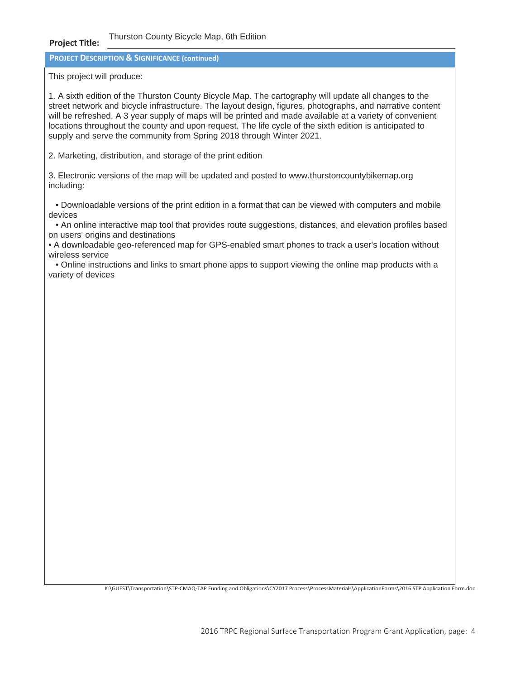#### **Project Title:**  Thurston County Bicycle Map, 6th Edition

**PROJECT DESCRIPTION & SIGNIFICANCE (continued)**

This project will produce:

1. A sixth edition of the Thurston County Bicycle Map. The cartography will update all changes to the street network and bicycle infrastructure. The layout design, figures, photographs, and narrative content will be refreshed. A 3 year supply of maps will be printed and made available at a variety of convenient locations throughout the county and upon request. The life cycle of the sixth edition is anticipated to supply and serve the community from Spring 2018 through Winter 2021.

2. Marketing, distribution, and storage of the print edition

3. Electronic versions of the map will be updated and posted to www.thurstoncountybikemap.org including:

• Downloadable versions of the print edition in a format that can be viewed with computers and mobile devices

• An online interactive map tool that provides route suggestions, distances, and elevation profiles based on users' origins and destinations

• A downloadable geo-referenced map for GPS-enabled smart phones to track a user's location without wireless service

• Online instructions and links to smart phone apps to support viewing the online map products with a variety of devices

K:\GUEST\Transportation\STP-CMAQ-TAP Funding and Obligations\CY2017 Process\ProcessMaterials\ApplicationForms\2016 STP Application Form.doc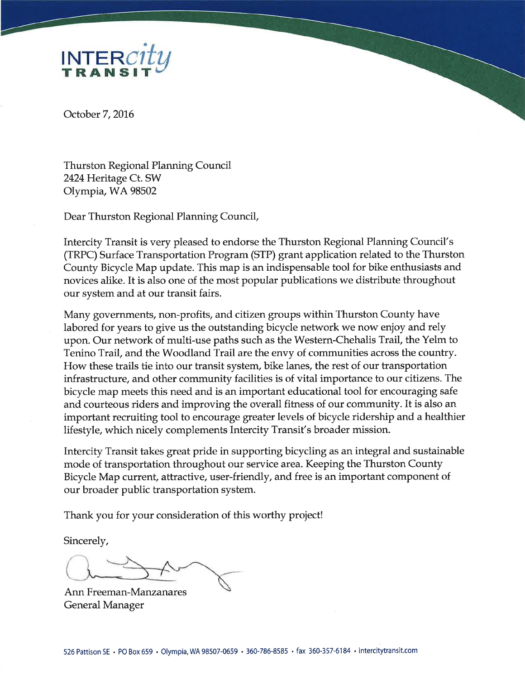

October 7, 2016

**Thurston Regional Planning Council** 2424 Heritage Ct. SW Olympia, WA 98502

Dear Thurston Regional Planning Council,

Intercity Transit is very pleased to endorse the Thurston Regional Planning Council's (TRPC) Surface Transportation Program (STP) grant application related to the Thurston County Bicycle Map update. This map is an indispensable tool for bike enthusiasts and novices alike. It is also one of the most popular publications we distribute throughout our system and at our transit fairs.

Many governments, non-profits, and citizen groups within Thurston County have labored for years to give us the outstanding bicycle network we now enjoy and rely upon. Our network of multi-use paths such as the Western-Chehalis Trail, the Yelm to Tenino Trail, and the Woodland Trail are the envy of communities across the country. How these trails tie into our transit system, bike lanes, the rest of our transportation infrastructure, and other community facilities is of vital importance to our citizens. The bicycle map meets this need and is an important educational tool for encouraging safe and courteous riders and improving the overall fitness of our community. It is also an important recruiting tool to encourage greater levels of bicycle ridership and a healthier lifestyle, which nicely complements Intercity Transit's broader mission.

Intercity Transit takes great pride in supporting bicycling as an integral and sustainable mode of transportation throughout our service area. Keeping the Thurston County Bicycle Map current, attractive, user-friendly, and free is an important component of our broader public transportation system.

Thank you for your consideration of this worthy project!

Sincerely,

Ann Freeman-Manzanares General Manager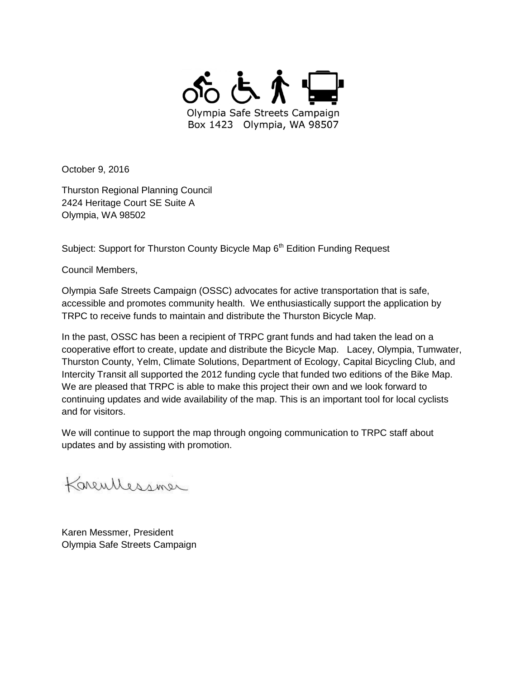

October 9, 2016

Thurston Regional Planning Council 2424 Heritage Court SE Suite A Olympia, WA 98502

Subject: Support for Thurston County Bicycle Map 6<sup>th</sup> Edition Funding Request

Council Members,

Olympia Safe Streets Campaign (OSSC) advocates for active transportation that is safe, accessible and promotes community health. We enthusiastically support the application by TRPC to receive funds to maintain and distribute the Thurston Bicycle Map.

In the past, OSSC has been a recipient of TRPC grant funds and had taken the lead on a cooperative effort to create, update and distribute the Bicycle Map. Lacey, Olympia, Tumwater, Thurston County, Yelm, Climate Solutions, Department of Ecology, Capital Bicycling Club, and Intercity Transit all supported the 2012 funding cycle that funded two editions of the Bike Map. We are pleased that TRPC is able to make this project their own and we look forward to continuing updates and wide availability of the map. This is an important tool for local cyclists and for visitors.

We will continue to support the map through ongoing communication to TRPC staff about updates and by assisting with promotion.

Karentlessmer

Karen Messmer, President Olympia Safe Streets Campaign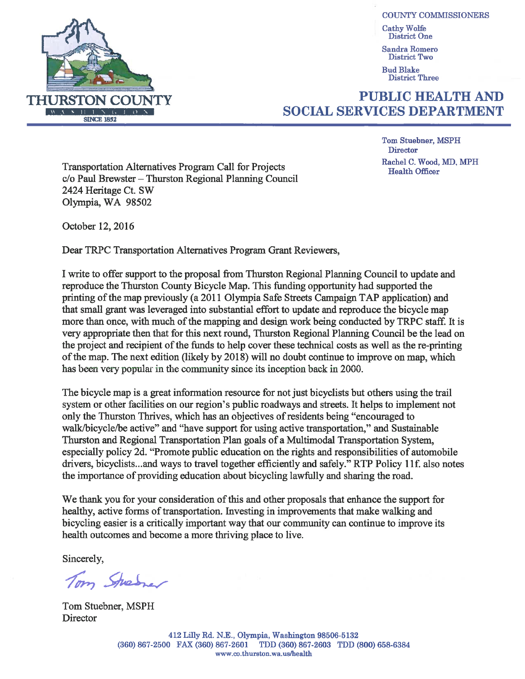

**COUNTY COMMISSIONERS Cathy Wolfe District One** 

Sandra Romero District Two

**Bud Blake District Three** 

## **PUBLIC HEALTH AND SOCIAL SERVICES DEPARTMENT**

**Tom Stuebner, MSPH Director** Rachel C. Wood, MD, MPH **Health Officer** 

**Transportation Alternatives Program Call for Projects** c/o Paul Brewster – Thurston Regional Planning Council 2424 Heritage Ct. SW Olympia, WA 98502

October 12, 2016

Dear TRPC Transportation Alternatives Program Grant Reviewers,

I write to offer support to the proposal from Thurston Regional Planning Council to update and reproduce the Thurston County Bicycle Map. This funding opportunity had supported the printing of the map previously (a 2011 Olympia Safe Streets Campaign TAP application) and that small grant was leveraged into substantial effort to update and reproduce the bicycle map more than once, with much of the mapping and design work being conducted by TRPC staff. It is very appropriate then that for this next round, Thurston Regional Planning Council be the lead on the project and recipient of the funds to help cover these technical costs as well as the re-printing of the map. The next edition (likely by 2018) will no doubt continue to improve on map, which has been very popular in the community since its inception back in 2000.

The bicycle map is a great information resource for not just bicyclists but others using the trail system or other facilities on our region's public roadways and streets. It helps to implement not only the Thurston Thrives, which has an objectives of residents being "encouraged to walk/bicycle/be active" and "have support for using active transportation," and Sustainable Thurston and Regional Transportation Plan goals of a Multimodal Transportation System, especially policy 2d. "Promote public education on the rights and responsibilities of automobile drivers, bicyclists...and ways to travel together efficiently and safely." RTP Policy 11f, also notes the importance of providing education about bicycling lawfully and sharing the road.

We thank you for your consideration of this and other proposals that enhance the support for healthy, active forms of transportation. Investing in improvements that make walking and bicycling easier is a critically important way that our community can continue to improve its health outcomes and become a more thriving place to live.

Sincerely.

Tom Sherrer

Tom Stuebner, MSPH Director

> 412 Lilly Rd. N.E., Olympia, Washington 98506-5132 (360) 867-2500 FAX (360) 867-2601 TDD (360) 867-2603 TDD (800) 658-6384 www.co.thurston.wa.us/health